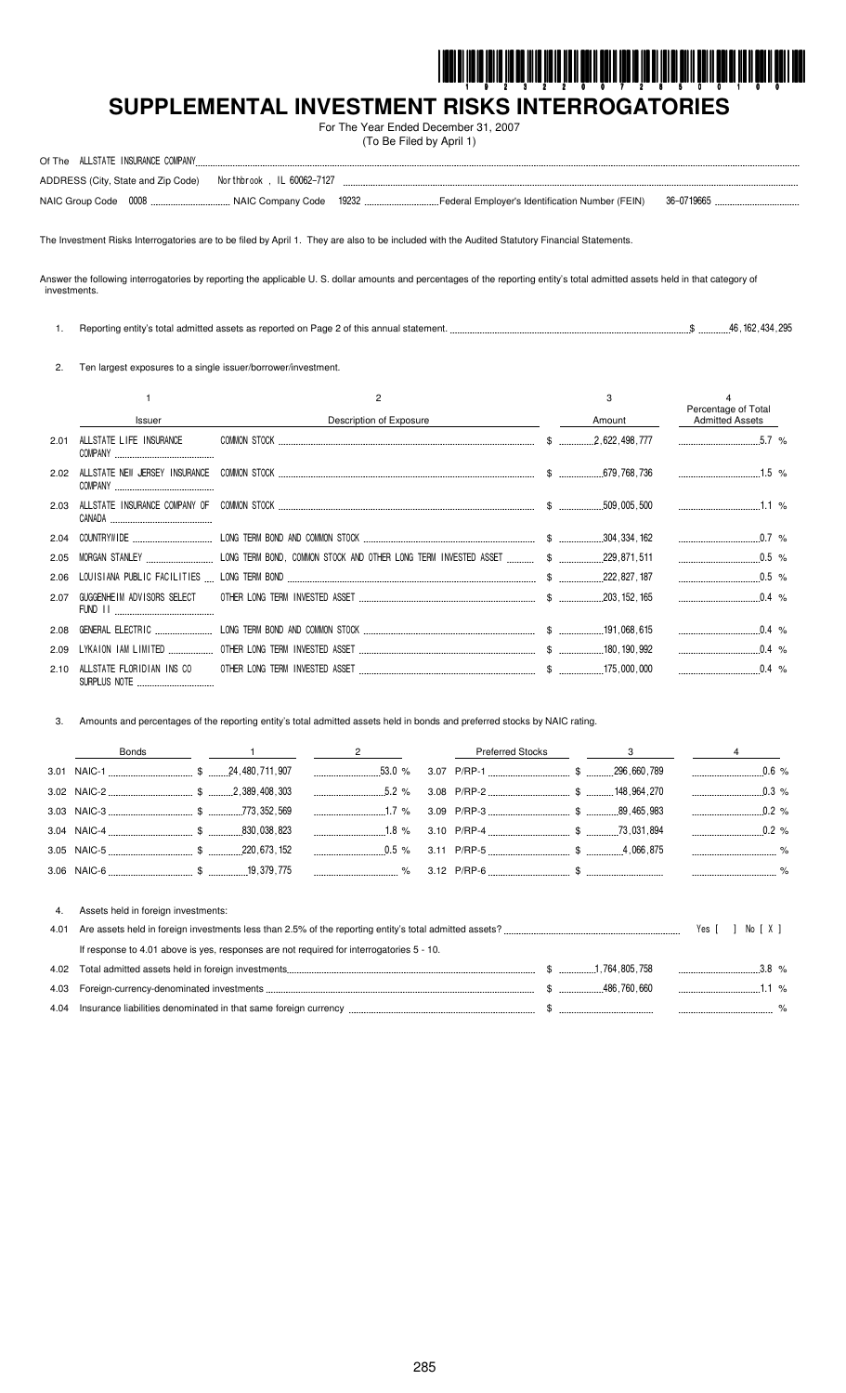

# SUPPLEMENTAL INVESTMENT RISKS INTERROGATORIES

For The Year Ended December 31, 2007 (To Be Filed by April 1)

| ALLSTATE INSURANCE COMPANY<br>Of The |                               |       |                                                 |            |  |
|--------------------------------------|-------------------------------|-------|-------------------------------------------------|------------|--|
| ADDRESS (City, State and Zip Code)   | IL 60062-7127<br>Northbrook . |       |                                                 |            |  |
| 0008<br>NAIC Group Code              | . NAIC Company Code           | 19232 | Federal Employer's Identification Number (FEIN) | 36-0719665 |  |

The Investment Risks Interrogatories are to be filed by April 1. They are also to be included with the Audited Statutory Financial Statements.

Answer the following interrogatories by reporting the applicable U. S. dollar amounts and percentages of the reporting entity's total admitted assets held in that category of investments.

1. Reporting entity's total admitted assets as reported on Page 2 of this annual statement...  $\$\$  ... 46, 162, 434, 295

 $2.$ Ten largest exposures to a single issuer/borrower/investment.

|      |                                           | 2                       | 3 |  |                                                         |  |  |  |
|------|-------------------------------------------|-------------------------|---|--|---------------------------------------------------------|--|--|--|
|      | Issuer                                    | Description of Exposure |   |  | Percentage of Total<br>Amount<br><b>Admitted Assets</b> |  |  |  |
| 2.01 | ALLSTATE LIFE INSURANCE<br>COMPANY        |                         |   |  |                                                         |  |  |  |
| 2.02 | ALLSTATE NEW JERSEY INSURANCE             |                         |   |  |                                                         |  |  |  |
| 2.03 |                                           |                         |   |  |                                                         |  |  |  |
| 2.04 |                                           |                         |   |  |                                                         |  |  |  |
| 2.05 |                                           |                         |   |  | $0.5$ %                                                 |  |  |  |
| 2.06 |                                           |                         |   |  |                                                         |  |  |  |
| 2.07 | GUGGENHEIM ADVISORS SELECT                |                         |   |  | $0.4\%$                                                 |  |  |  |
| 2.08 |                                           |                         |   |  | $0.4\%$                                                 |  |  |  |
| 2.09 | LYKAION IAM LIMITED                       |                         |   |  | $0.4\%$                                                 |  |  |  |
| 2.10 | ALLSTATE FLORIDIAN INS CO<br>SURPLUS NOTE |                         |   |  |                                                         |  |  |  |

Amounts and percentages of the reporting entity's total admitted assets held in bonds and preferred stocks by NAIC rating.  $3.$ 

| Bonds                                  |  | $\sim$ 1 $\sim$ 2 |  | Preferred Stocks 3 4 |  |
|----------------------------------------|--|-------------------|--|----------------------|--|
|                                        |  |                   |  |                      |  |
|                                        |  |                   |  |                      |  |
|                                        |  |                   |  |                      |  |
|                                        |  |                   |  |                      |  |
|                                        |  |                   |  |                      |  |
|                                        |  |                   |  |                      |  |
|                                        |  |                   |  |                      |  |
| 4. Assets held in foreign investments: |  |                   |  |                      |  |

| 4.01 |                                                                                          |  | Yes [ ] | No [X] |               |
|------|------------------------------------------------------------------------------------------|--|---------|--------|---------------|
|      | If response to 4.01 above is yes, responses are not required for interrogatories 5 - 10. |  |         |        |               |
|      |                                                                                          |  |         |        |               |
|      |                                                                                          |  |         |        |               |
|      | 4.04 Insurance liabilities denominated in that same foreign currency                     |  |         |        | $\frac{1}{2}$ |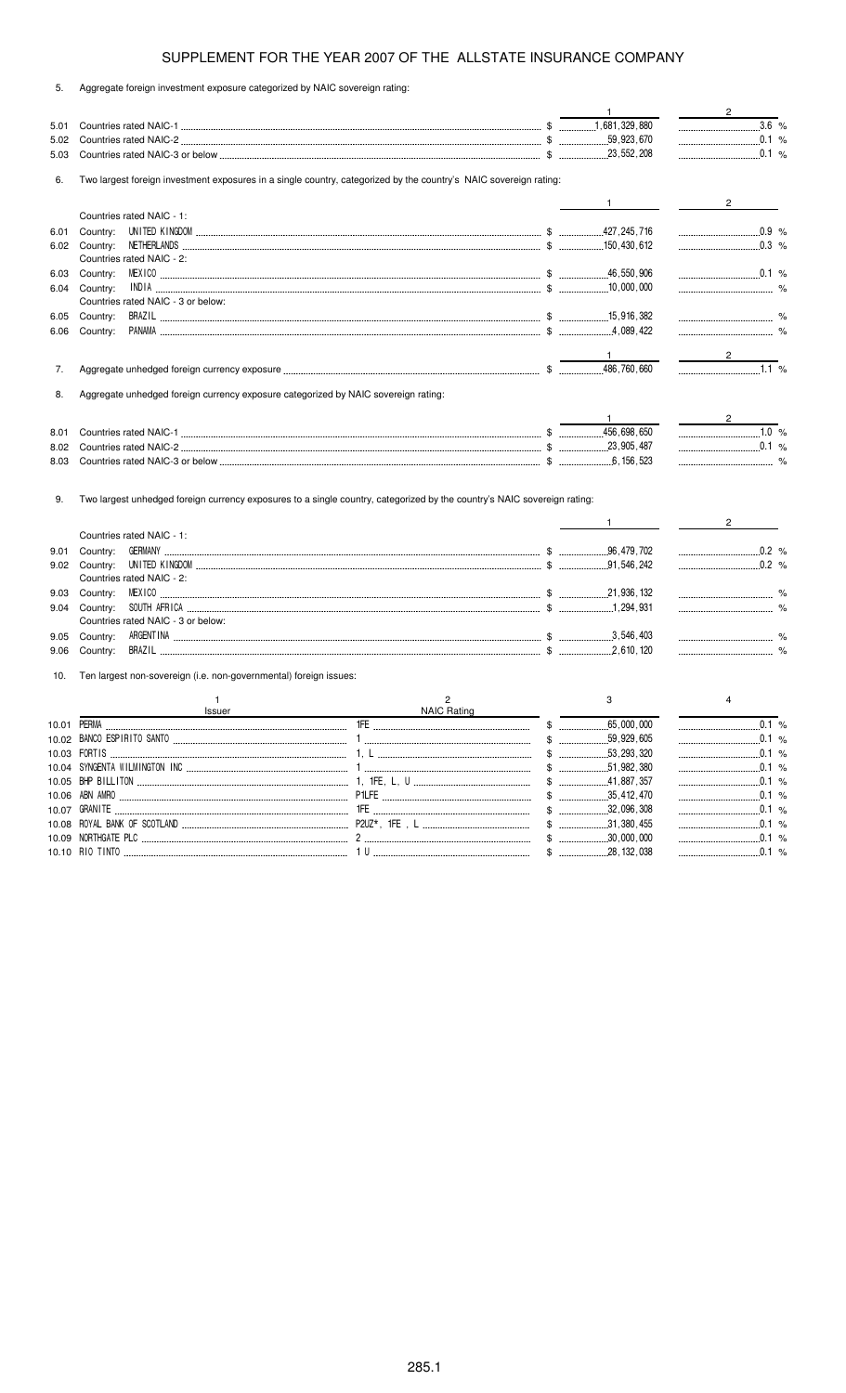5. Aggregate foreign investment exposure categorized by NAIC sovereign rating:

|      |                                                                                                                          |                                                                                                               | $\mathbf{1}$                                               | $2^{\circ}$                                          |
|------|--------------------------------------------------------------------------------------------------------------------------|---------------------------------------------------------------------------------------------------------------|------------------------------------------------------------|------------------------------------------------------|
| 5.01 |                                                                                                                          |                                                                                                               |                                                            | $\begin{array}{ccc}\n&3.6 &\% \\\hline\n\end{array}$ |
| 5.02 |                                                                                                                          |                                                                                                               |                                                            | 0.1 %                                                |
| 5.03 |                                                                                                                          |                                                                                                               |                                                            | $0.1\%$                                              |
| 6.   | Two largest foreign investment exposures in a single country, categorized by the country's NAIC sovereign rating:        |                                                                                                               |                                                            |                                                      |
|      |                                                                                                                          |                                                                                                               | $1 \qquad \qquad$                                          | $2 \left( \frac{1}{2} \right)$                       |
|      | Countries rated NAIC - 1:                                                                                                |                                                                                                               |                                                            |                                                      |
| 6.01 | Country:                                                                                                                 | 427, 245, 216, 247, 249, 216, 216, 217, 249, 216, 217, 249, 216, 217, 218, 218, 218, 218, 218, 218, 216, 217, |                                                            | $\sim$ 0.9 %                                         |
| 6.02 | Country:                                                                                                                 |                                                                                                               |                                                            | $0.3\%$                                              |
|      | Countries rated NAIC - 2:                                                                                                |                                                                                                               |                                                            |                                                      |
| 6.03 | Country:                                                                                                                 |                                                                                                               |                                                            | $\frac{1}{2}$ 0.1 %                                  |
| 6.04 | Country:                                                                                                                 |                                                                                                               |                                                            |                                                      |
|      | Countries rated NAIC - 3 or below:                                                                                       |                                                                                                               |                                                            |                                                      |
| 6.05 | Country:                                                                                                                 |                                                                                                               |                                                            |                                                      |
| 6.06 | Country:                                                                                                                 |                                                                                                               |                                                            |                                                      |
|      |                                                                                                                          |                                                                                                               | $\frac{1}{\sqrt{1-\frac{1}{2}}}\left(1-\frac{1}{2}\right)$ | $\overline{\mathbf{c}}$                              |
| 7.   |                                                                                                                          |                                                                                                               |                                                            | 1.1 %                                                |
|      |                                                                                                                          |                                                                                                               |                                                            |                                                      |
| 8.   | Aggregate unhedged foreign currency exposure categorized by NAIC sovereign rating:                                       |                                                                                                               |                                                            |                                                      |
|      |                                                                                                                          |                                                                                                               | $\frac{1}{1}$                                              | $\frac{2}{\sqrt{2}}$                                 |
| 8.01 |                                                                                                                          |                                                                                                               |                                                            | $1.0\%$                                              |
| 8.02 |                                                                                                                          |                                                                                                               |                                                            | $0.1 \%$                                             |
| 8.03 |                                                                                                                          |                                                                                                               |                                                            |                                                      |
| 9.   | Two largest unhedged foreign currency exposures to a single country, categorized by the country's NAIC sovereign rating: |                                                                                                               |                                                            |                                                      |
|      | Countries rated NAIC - 1:                                                                                                |                                                                                                               | $1$ and $1$                                                | $2 \left( \frac{1}{2} \right)$                       |
| 9.01 | Country:                                                                                                                 |                                                                                                               |                                                            | $0.2 \%$                                             |
| 9.02 | Country:                                                                                                                 |                                                                                                               |                                                            | $\ldots$ 0.2 %                                       |
|      | Countries rated NAIC - 2:                                                                                                |                                                                                                               |                                                            |                                                      |
| 9.03 | Country:                                                                                                                 |                                                                                                               |                                                            |                                                      |
| 9.04 | Country:                                                                                                                 |                                                                                                               |                                                            |                                                      |
|      | Countries rated NAIC - 3 or below:                                                                                       |                                                                                                               |                                                            |                                                      |
| 9.05 | Country:                                                                                                                 |                                                                                                               |                                                            |                                                      |
| 9.06 | Country:                                                                                                                 |                                                                                                               |                                                            |                                                      |
| 10.  | Ten largest non-sovereign (i.e. non-governmental) foreign issues:                                                        |                                                                                                               |                                                            |                                                      |
|      | 1                                                                                                                        | $\overline{c}$                                                                                                | 3                                                          | $\overline{4}$                                       |
|      | Issuer                                                                                                                   | NAIC Rating                                                                                                   |                                                            |                                                      |
|      |                                                                                                                          |                                                                                                               | \$ 65,000,000                                              |                                                      |
|      |                                                                                                                          |                                                                                                               |                                                            |                                                      |
|      |                                                                                                                          |                                                                                                               |                                                            | $\ldots$ 0.1 %                                       |
|      |                                                                                                                          |                                                                                                               |                                                            | $0.1 \%$                                             |
|      |                                                                                                                          |                                                                                                               |                                                            |                                                      |
|      |                                                                                                                          |                                                                                                               |                                                            |                                                      |

%

%

%

%

 $32,096,308$ 

 $.30,000,000$ 

...28, 132, 038

 $31,380,455$ 

\$ -

10.07 # \$ -

10.10 \$ -

# -

10.08 " # !
 %-

10.09 NORTHGATE PLC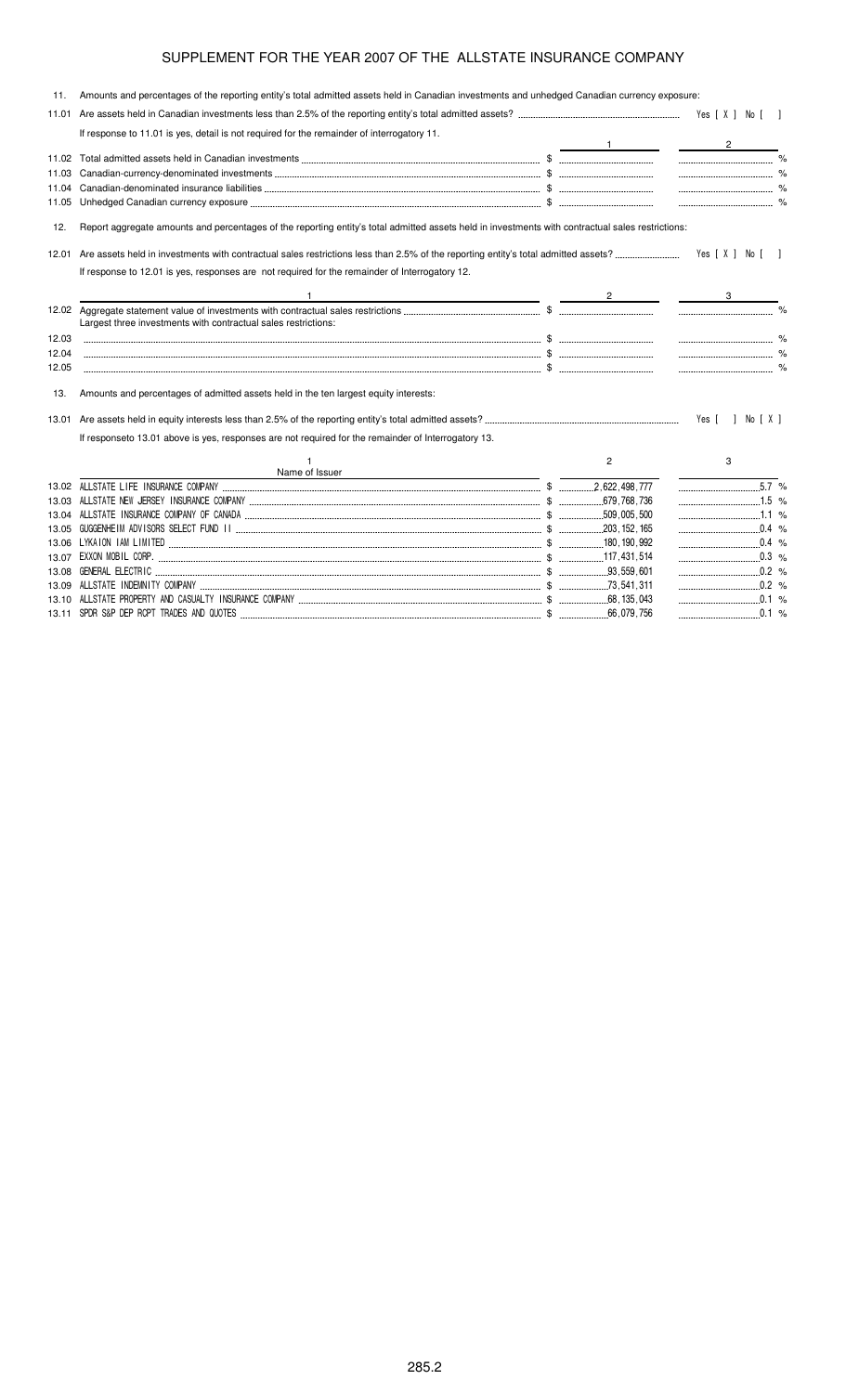| 11.   | Amounts and percentages of the reporting entity's total admitted assets held in Canadian investments and unhedged Canadian currency exposure:     |                |                  |  |
|-------|---------------------------------------------------------------------------------------------------------------------------------------------------|----------------|------------------|--|
| 11.01 |                                                                                                                                                   |                |                  |  |
|       | If response to 11.01 is yes, detail is not required for the remainder of interrogatory 11.                                                        |                | $\overline{2}$   |  |
| 11.02 |                                                                                                                                                   |                |                  |  |
| 11.03 |                                                                                                                                                   |                |                  |  |
| 11.04 |                                                                                                                                                   |                |                  |  |
| 11.05 |                                                                                                                                                   |                |                  |  |
| 12.   | Report aggregate amounts and percentages of the reporting entity's total admitted assets held in investments with contractual sales restrictions: |                |                  |  |
| 12.01 |                                                                                                                                                   |                | Yes [ X ] No [ ] |  |
|       | If response to 12.01 is yes, responses are not required for the remainder of Interrogatory 12.                                                    |                |                  |  |
|       | <u> 1989 - Johann Barn, fransk politik (d. 1989)</u>                                                                                              |                | $\sim$ 3         |  |
|       |                                                                                                                                                   |                |                  |  |
|       | Largest three investments with contractual sales restrictions:                                                                                    |                |                  |  |
| 12.03 |                                                                                                                                                   |                |                  |  |
| 12.04 |                                                                                                                                                   |                |                  |  |
| 12.05 |                                                                                                                                                   |                |                  |  |
| 13.   | Amounts and percentages of admitted assets held in the ten largest equity interests:                                                              |                |                  |  |
|       |                                                                                                                                                   |                | Yes [ ] No [ X ] |  |
|       | If responseto 13.01 above is yes, responses are not required for the remainder of Interrogatory 13.                                               |                |                  |  |
|       | Name of Issuer                                                                                                                                    | $\overline{2}$ | 3                |  |
|       |                                                                                                                                                   |                |                  |  |
|       |                                                                                                                                                   |                |                  |  |
|       |                                                                                                                                                   |                |                  |  |
|       |                                                                                                                                                   |                | $\ldots$ 0.4 %   |  |
|       |                                                                                                                                                   |                | $0.4$ %          |  |
|       |                                                                                                                                                   |                | $\ldots$ 0.3 %   |  |
|       |                                                                                                                                                   |                |                  |  |
| 13.09 |                                                                                                                                                   |                |                  |  |
|       |                                                                                                                                                   |                |                  |  |

13.11 \$ + \$ \$ \$ ,
 \$ % %# %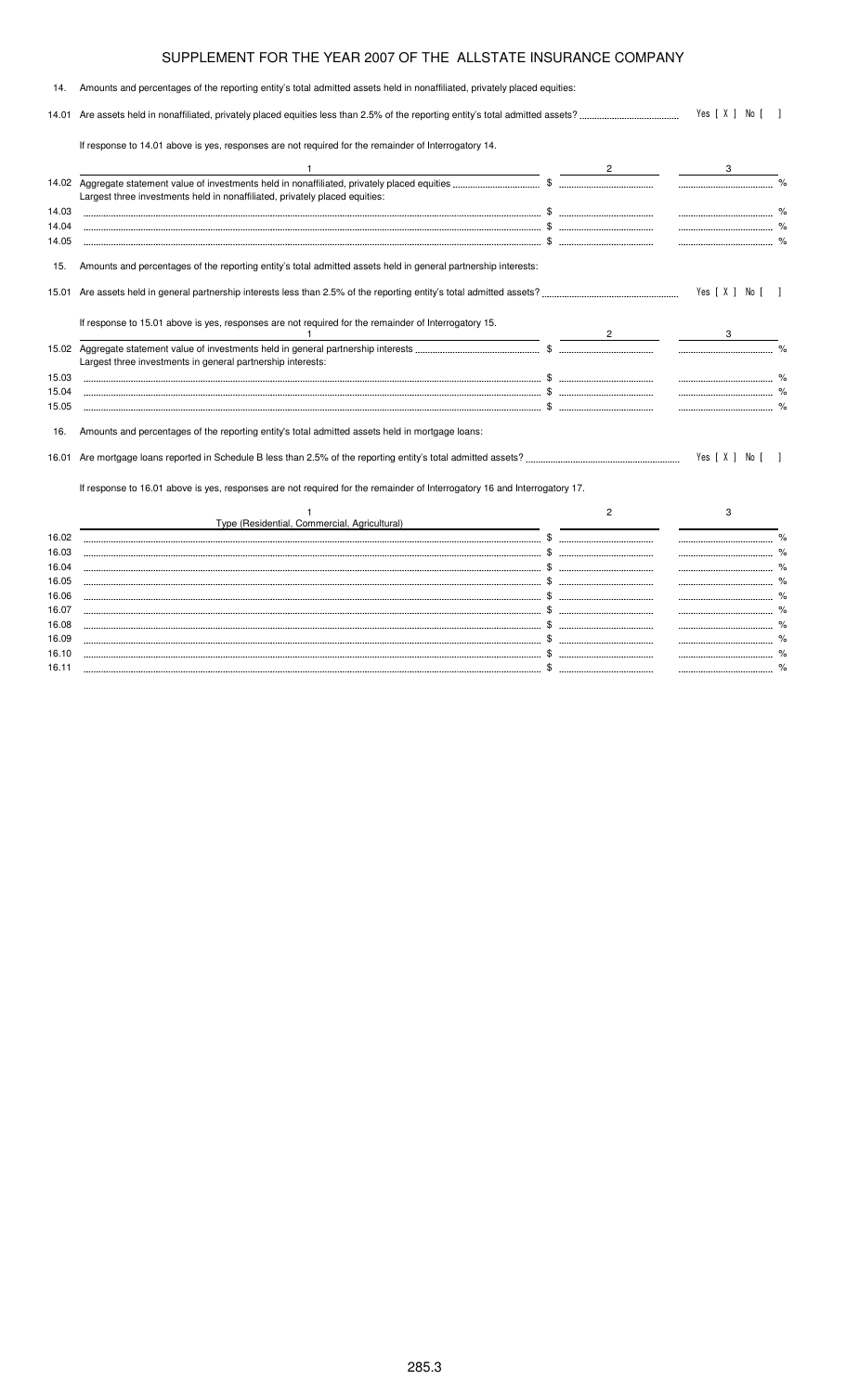| 14.            | Amounts and percentages of the reporting entity's total admitted assets held in nonaffiliated, privately placed equities: |                |                  |                |
|----------------|---------------------------------------------------------------------------------------------------------------------------|----------------|------------------|----------------|
| 14.01          |                                                                                                                           | Yes [ X ] No [ | $\blacksquare$   |                |
|                | If response to 14.01 above is yes, responses are not required for the remainder of Interrogatory 14.                      |                |                  |                |
|                |                                                                                                                           |                |                  |                |
|                | Largest three investments held in nonaffiliated, privately placed equities:                                               |                |                  |                |
| 14.03          |                                                                                                                           |                |                  |                |
| 14.04          |                                                                                                                           |                |                  |                |
| 14.05          |                                                                                                                           |                |                  |                |
| 15.            | Amounts and percentages of the reporting entity's total admitted assets held in general partnership interests:            |                |                  |                |
|                |                                                                                                                           |                | Yes [ X ] No [ ] |                |
|                | If response to 15.01 above is yes, responses are not required for the remainder of Interrogatory 15.                      | 2 $\qquad$     |                  |                |
|                | Largest three investments in general partnership interests:                                                               |                |                  |                |
| 15.03          |                                                                                                                           |                |                  |                |
| 15.04          |                                                                                                                           |                |                  |                |
| 15.05          |                                                                                                                           |                |                  |                |
| 16.            | Amounts and percentages of the reporting entity's total admitted assets held in mortgage loans:                           |                |                  |                |
|                |                                                                                                                           |                | Yes [ X ] No [   | $\blacksquare$ |
|                | If response to 16.01 above is yes, responses are not required for the remainder of Interrogatory 16 and Interrogatory 17. |                |                  |                |
|                |                                                                                                                           | 2              | 3                |                |
|                | Type (Residential, Commercial, Agricultural)                                                                              |                |                  |                |
| 16.02          |                                                                                                                           |                |                  |                |
| 16.03          |                                                                                                                           |                |                  |                |
| 16.04          |                                                                                                                           |                |                  |                |
| 16.05          |                                                                                                                           |                |                  |                |
| 16.06          |                                                                                                                           |                |                  |                |
| 16.07<br>16.08 |                                                                                                                           |                |                  |                |
| 16.09          |                                                                                                                           |                |                  |                |
|                |                                                                                                                           |                |                  |                |

16.10 \$ % 16.11 \$ %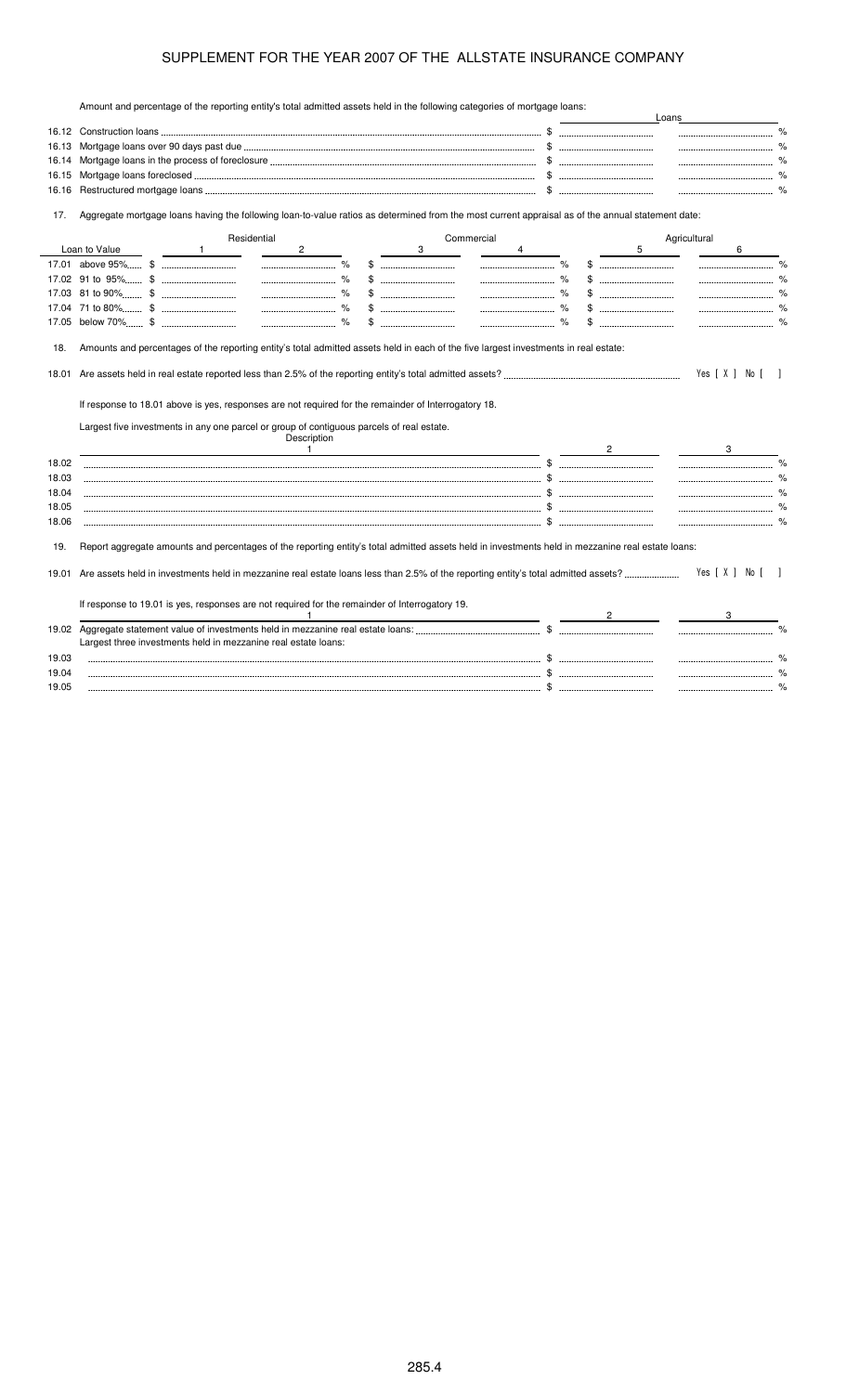Amount and percentage of the reporting entity's total admitted assets held in the following categories of mortgage loans:

|                         |               |              |                                                                                                                                                                                                                  |             |   |            |   |                |   | Loans        |                |               |
|-------------------------|---------------|--------------|------------------------------------------------------------------------------------------------------------------------------------------------------------------------------------------------------------------|-------------|---|------------|---|----------------|---|--------------|----------------|---------------|
|                         |               |              |                                                                                                                                                                                                                  |             |   |            |   |                |   |              |                |               |
| 16.13                   |               |              |                                                                                                                                                                                                                  |             |   |            |   |                |   |              |                |               |
| 16.14                   |               |              |                                                                                                                                                                                                                  |             |   |            |   |                |   |              |                |               |
| 16.15                   |               |              |                                                                                                                                                                                                                  |             |   |            |   |                |   |              |                |               |
| 16.16                   |               |              |                                                                                                                                                                                                                  |             |   |            |   |                |   |              | $\%$           |               |
| 17.                     |               |              | Aggregate mortgage loans having the following loan-to-value ratios as determined from the most current appraisal as of the annual statement date:                                                                |             |   |            |   |                |   |              |                |               |
|                         |               |              | Residential                                                                                                                                                                                                      |             |   | Commercial |   |                |   | Agricultural |                |               |
|                         | Loan to Value | $\mathbf{1}$ | $\overline{2}$                                                                                                                                                                                                   |             | 3 |            | 4 |                | 5 |              | 6              |               |
|                         |               |              |                                                                                                                                                                                                                  |             |   |            |   |                |   |              |                |               |
|                         |               |              |                                                                                                                                                                                                                  | \$          |   |            |   |                |   |              |                |               |
|                         |               |              |                                                                                                                                                                                                                  | $\%$<br>\$. |   |            |   |                |   |              |                |               |
|                         |               |              |                                                                                                                                                                                                                  |             |   |            |   |                |   |              |                |               |
|                         |               |              |                                                                                                                                                                                                                  |             |   |            |   |                |   |              |                |               |
| 18.01                   |               |              |                                                                                                                                                                                                                  |             |   |            |   |                |   |              | Yes [ X ] No [ |               |
|                         |               |              | If response to 18.01 above is yes, responses are not required for the remainder of Interrogatory 18.<br>Largest five investments in any one parcel or group of contiguous parcels of real estate.<br>Description |             |   |            |   |                |   |              |                |               |
|                         |               |              | $\overline{1}$                                                                                                                                                                                                   |             |   |            |   | $\overline{2}$ |   |              |                |               |
|                         |               |              |                                                                                                                                                                                                                  |             |   |            |   |                |   |              |                |               |
|                         |               |              |                                                                                                                                                                                                                  |             |   |            |   |                |   |              |                |               |
| 18.02<br>18.03<br>18.04 |               |              |                                                                                                                                                                                                                  |             |   |            |   |                |   |              |                |               |
| 18.05<br>18.06          |               |              |                                                                                                                                                                                                                  |             |   |            |   |                |   |              |                |               |
| 19.                     |               |              | Report aggregate amounts and percentages of the reporting entity's total admitted assets held in investments held in mezzanine real estate loans:                                                                |             |   |            |   |                |   |              |                |               |
|                         |               |              |                                                                                                                                                                                                                  |             |   |            |   |                |   |              | Yes [ X ] No [ |               |
|                         |               |              | If response to 19.01 is yes, responses are not required for the remainder of Interrogatory 19.                                                                                                                   |             |   |            |   |                |   |              |                |               |
|                         |               |              |                                                                                                                                                                                                                  |             |   |            |   |                |   |              |                |               |
|                         |               |              |                                                                                                                                                                                                                  |             |   |            |   |                |   |              |                |               |
|                         |               |              | Largest three investments held in mezzanine real estate loans:                                                                                                                                                   |             |   |            |   |                |   |              |                |               |
| 19.01<br>19.02<br>19.03 |               |              |                                                                                                                                                                                                                  |             |   |            |   |                |   |              |                | $\frac{1}{2}$ |
| 19.04<br>19.05          |               |              |                                                                                                                                                                                                                  |             |   |            |   |                |   |              |                | %             |